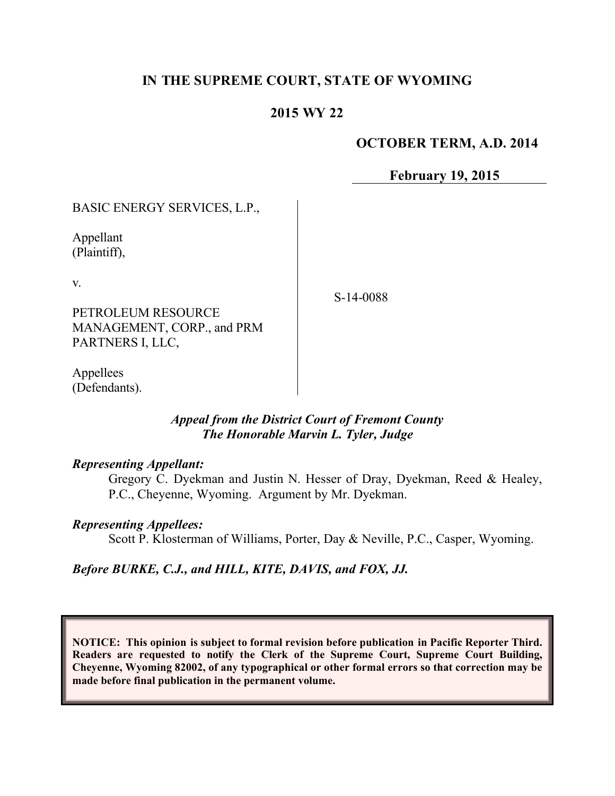# **IN THE SUPREME COURT, STATE OF WYOMING**

## **2015 WY 22**

### **OCTOBER TERM, A.D. 2014**

**February 19, 2015**

BASIC ENERGY SERVICES, L.P.,

Appellant (Plaintiff),

v.

PETROLEUM RESOURCE MANAGEMENT, CORP., and PRM PARTNERS I, LLC,

S-14-0088

Appellees (Defendants).

#### *Appeal from the District Court of Fremont County The Honorable Marvin L. Tyler, Judge*

#### *Representing Appellant:*

Gregory C. Dyekman and Justin N. Hesser of Dray, Dyekman, Reed & Healey, P.C., Cheyenne, Wyoming. Argument by Mr. Dyekman.

#### *Representing Appellees:*

Scott P. Klosterman of Williams, Porter, Day & Neville, P.C., Casper, Wyoming.

*Before BURKE, C.J., and HILL, KITE, DAVIS, and FOX, JJ.*

**NOTICE: This opinion is subject to formal revision before publication in Pacific Reporter Third. Readers are requested to notify the Clerk of the Supreme Court, Supreme Court Building, Cheyenne, Wyoming 82002, of any typographical or other formal errors so that correction may be made before final publication in the permanent volume.**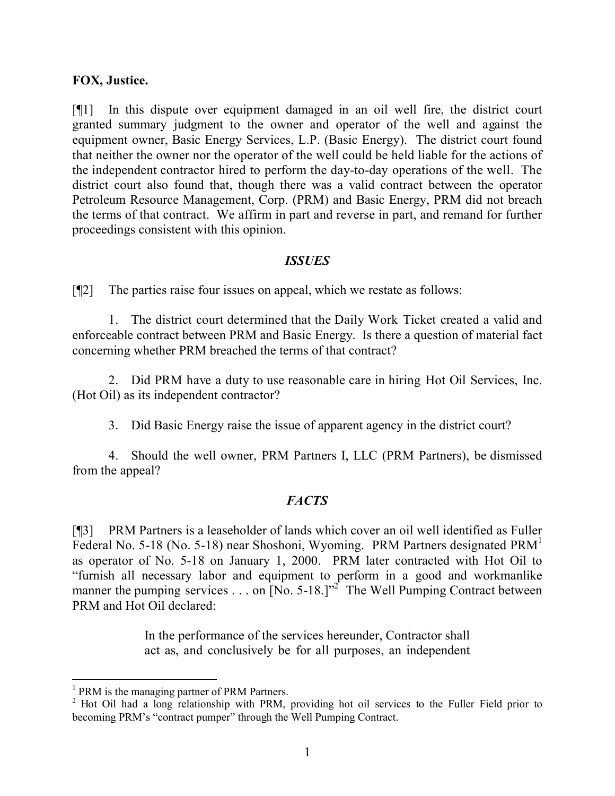### **FOX, Justice.**

[¶1] In this dispute over equipment damaged in an oil well fire, the district court granted summary judgment to the owner and operator of the well and against the equipment owner, Basic Energy Services, L.P. (Basic Energy). The district court found that neither the owner nor the operator of the well could be held liable for the actions of the independent contractor hired to perform the day-to-day operations of the well. The district court also found that, though there was a valid contract between the operator Petroleum Resource Management, Corp. (PRM) and Basic Energy, PRM did not breach the terms of that contract. We affirm in part and reverse in part, and remand for further proceedings consistent with this opinion.

### *ISSUES*

[¶2] The parties raise four issues on appeal, which we restate as follows:

1. The district court determined that the Daily Work Ticket created a valid and enforceable contract between PRM and Basic Energy. Is there a question of material fact concerning whether PRM breached the terms of that contract?

2. Did PRM have a duty to use reasonable care in hiring Hot Oil Services, Inc. (Hot Oil) as its independent contractor?

3. Did Basic Energy raise the issue of apparent agency in the district court?

4. Should the well owner, PRM Partners I, LLC (PRM Partners), be dismissed from the appeal?

## *FACTS*

[¶3] PRM Partners is a leaseholder of lands which cover an oil well identified as Fuller Federal No. 5-18 (No. 5-18) near Shoshoni, Wyoming. PRM Partners designated PRM<sup>1</sup> as operator of No. 5-18 on January 1, 2000. PRM later contracted with Hot Oil to "furnish all necessary labor and equipment to perform in a good and workmanlike manner the pumping services . . . on  $[N_0, 5-18.]$ <sup>2</sup> The Well Pumping Contract between PRM and Hot Oil declared:

> In the performance of the services hereunder, Contractor shall act as, and conclusively be for all purposes, an independent

<sup>&</sup>lt;sup>1</sup> PRM is the managing partner of PRM Partners.

<sup>&</sup>lt;sup>2</sup> Hot Oil had a long relationship with PRM, providing hot oil services to the Fuller Field prior to becoming PRM's "contract pumper" through the Well Pumping Contract.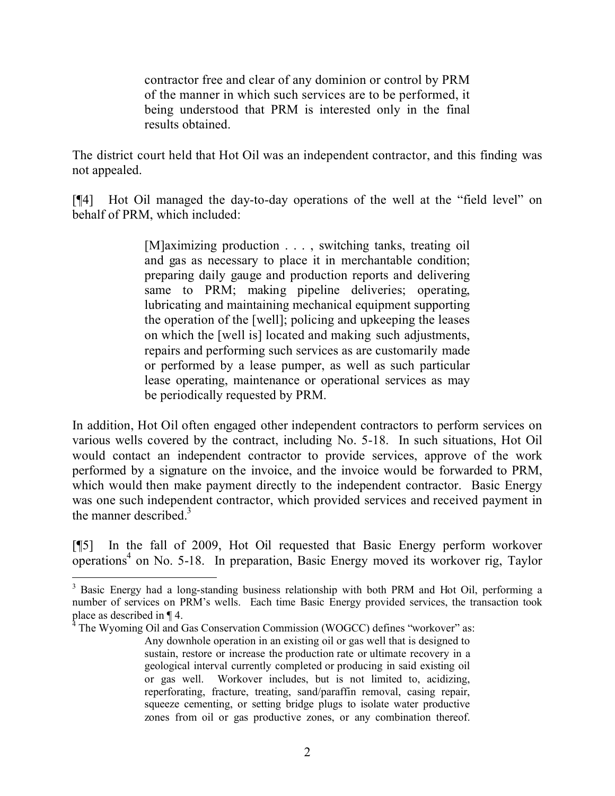contractor free and clear of any dominion or control by PRM of the manner in which such services are to be performed, it being understood that PRM is interested only in the final results obtained.

The district court held that Hot Oil was an independent contractor, and this finding was not appealed.

[¶4] Hot Oil managed the day-to-day operations of the well at the "field level" on behalf of PRM, which included:

> [M]aximizing production . . . , switching tanks, treating oil and gas as necessary to place it in merchantable condition; preparing daily gauge and production reports and delivering same to PRM; making pipeline deliveries; operating, lubricating and maintaining mechanical equipment supporting the operation of the [well]; policing and upkeeping the leases on which the [well is] located and making such adjustments, repairs and performing such services as are customarily made or performed by a lease pumper, as well as such particular lease operating, maintenance or operational services as may be periodically requested by PRM.

In addition, Hot Oil often engaged other independent contractors to perform services on various wells covered by the contract, including No. 5-18. In such situations, Hot Oil would contact an independent contractor to provide services, approve of the work performed by a signature on the invoice, and the invoice would be forwarded to PRM, which would then make payment directly to the independent contractor. Basic Energy was one such independent contractor, which provided services and received payment in the manner described. $3$ 

[¶5] In the fall of 2009, Hot Oil requested that Basic Energy perform workover  $\overline{\text{S}}$  on No. 5-18. In preparation, Basic Energy moved its workover rig, Taylor

 <sup>3</sup> Basic Energy had a long-standing business relationship with both PRM and Hot Oil, performing a number of services on PRM's wells. Each time Basic Energy provided services, the transaction took place as described in ¶ 4.

<sup>4</sup> The Wyoming Oil and Gas Conservation Commission (WOGCC) defines "workover" as: Any downhole operation in an existing oil or gas well that is designed to sustain, restore or increase the production rate or ultimate recovery in a geological interval currently completed or producing in said existing oil or gas well. Workover includes, but is not limited to, acidizing, reperforating, fracture, treating, sand/paraffin removal, casing repair, squeeze cementing, or setting bridge plugs to isolate water productive zones from oil or gas productive zones, or any combination thereof.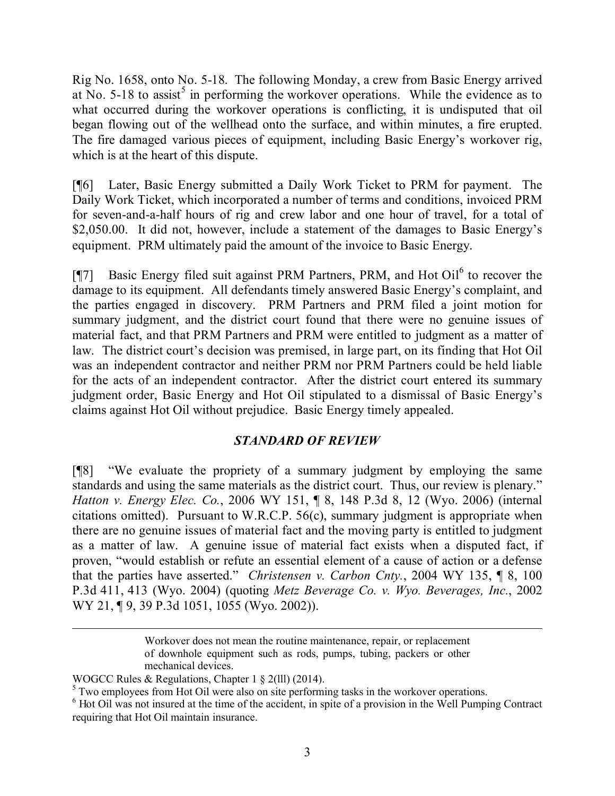Rig No. 1658, onto No. 5-18. The following Monday, a crew from Basic Energy arrived at No.  $5-18$  to assist<sup>5</sup> in performing the workover operations. While the evidence as to what occurred during the workover operations is conflicting, it is undisputed that oil began flowing out of the wellhead onto the surface, and within minutes, a fire erupted. The fire damaged various pieces of equipment, including Basic Energy's workover rig, which is at the heart of this dispute.

[¶6] Later, Basic Energy submitted a Daily Work Ticket to PRM for payment. The Daily Work Ticket, which incorporated a number of terms and conditions, invoiced PRM for seven-and-a-half hours of rig and crew labor and one hour of travel, for a total of \$2,050.00. It did not, however, include a statement of the damages to Basic Energy's equipment. PRM ultimately paid the amount of the invoice to Basic Energy.

[ $\llbracket$ ] Basic Energy filed suit against PRM Partners, PRM, and Hot Oil $^6$  to recover the damage to its equipment. All defendants timely answered Basic Energy's complaint, and the parties engaged in discovery. PRM Partners and PRM filed a joint motion for summary judgment, and the district court found that there were no genuine issues of material fact, and that PRM Partners and PRM were entitled to judgment as a matter of law. The district court's decision was premised, in large part, on its finding that Hot Oil was an independent contractor and neither PRM nor PRM Partners could be held liable for the acts of an independent contractor. After the district court entered its summary judgment order, Basic Energy and Hot Oil stipulated to a dismissal of Basic Energy's claims against Hot Oil without prejudice. Basic Energy timely appealed.

## *STANDARD OF REVIEW*

[¶8] "We evaluate the propriety of a summary judgment by employing the same standards and using the same materials as the district court. Thus, our review is plenary." *Hatton v. Energy Elec. Co.*, 2006 WY 151, ¶ 8, 148 P.3d 8, 12 (Wyo. 2006) (internal citations omitted). Pursuant to W.R.C.P. 56(c), summary judgment is appropriate when there are no genuine issues of material fact and the moving party is entitled to judgment as a matter of law. A genuine issue of material fact exists when a disputed fact, if proven, "would establish or refute an essential element of a cause of action or a defense that the parties have asserted." *Christensen v. Carbon Cnty.*, 2004 WY 135, ¶ 8, 100 P.3d 411, 413 (Wyo. 2004) (quoting *Metz Beverage Co. v. Wyo. Beverages, Inc.*, 2002 WY 21, ¶ 9, 39 P.3d 1051, 1055 (Wyo. 2002)).

Workover does not mean the routine maintenance, repair, or replacement of downhole equipment such as rods, pumps, tubing, packers or other mechanical devices.

WOGCC Rules & Regulations, Chapter 1 § 2(lll) (2014).

<sup>&</sup>lt;sup>5</sup> Two employees from Hot Oil were also on site performing tasks in the workover operations.

<sup>&</sup>lt;sup>6</sup> Hot Oil was not insured at the time of the accident, in spite of a provision in the Well Pumping Contract requiring that Hot Oil maintain insurance.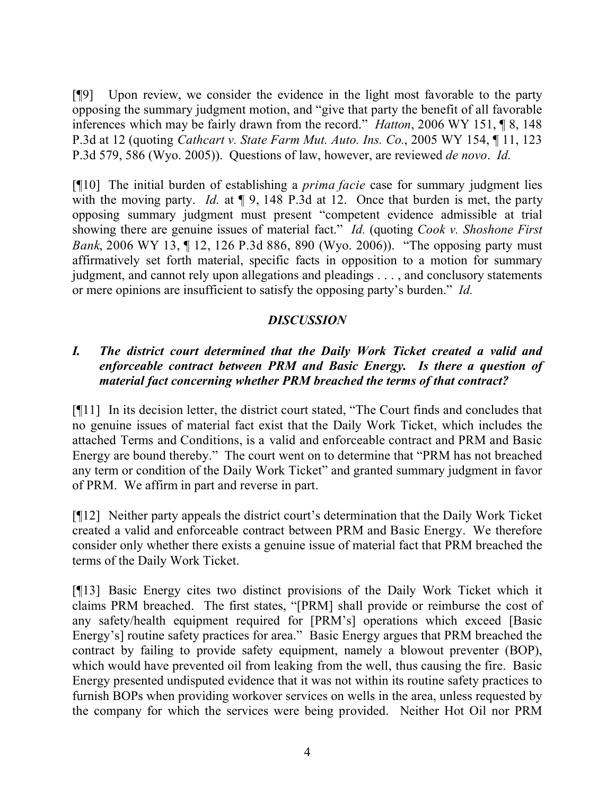[¶9] Upon review, we consider the evidence in the light most favorable to the party opposing the summary judgment motion, and "give that party the benefit of all favorable inferences which may be fairly drawn from the record." *Hatton*, 2006 WY 151, ¶ 8, 148 P.3d at 12 (quoting *Cathcart v. State Farm Mut. Auto. Ins. Co.*, 2005 WY 154, ¶ 11, 123 P.3d 579, 586 (Wyo. 2005)). Questions of law, however, are reviewed *de novo*. *Id.*

[¶10] The initial burden of establishing a *prima facie* case for summary judgment lies with the moving party. *Id.* at  $\P$  9, 148 P.3d at 12. Once that burden is met, the party opposing summary judgment must present "competent evidence admissible at trial showing there are genuine issues of material fact." *Id.* (quoting *Cook v. Shoshone First Bank*, 2006 WY 13, ¶ 12, 126 P.3d 886, 890 (Wyo. 2006)). "The opposing party must affirmatively set forth material, specific facts in opposition to a motion for summary judgment, and cannot rely upon allegations and pleadings . . . , and conclusory statements or mere opinions are insufficient to satisfy the opposing party's burden." *Id.*

# *DISCUSSION*

# *I. The district court determined that the Daily Work Ticket created a valid and enforceable contract between PRM and Basic Energy. Is there a question of material fact concerning whether PRM breached the terms of that contract?*

[¶11] In its decision letter, the district court stated, "The Court finds and concludes that no genuine issues of material fact exist that the Daily Work Ticket, which includes the attached Terms and Conditions, is a valid and enforceable contract and PRM and Basic Energy are bound thereby." The court went on to determine that "PRM has not breached any term or condition of the Daily Work Ticket" and granted summary judgment in favor of PRM. We affirm in part and reverse in part.

[¶12] Neither party appeals the district court's determination that the Daily Work Ticket created a valid and enforceable contract between PRM and Basic Energy. We therefore consider only whether there exists a genuine issue of material fact that PRM breached the terms of the Daily Work Ticket.

[¶13] Basic Energy cites two distinct provisions of the Daily Work Ticket which it claims PRM breached. The first states, "[PRM] shall provide or reimburse the cost of any safety/health equipment required for [PRM's] operations which exceed [Basic Energy's] routine safety practices for area." Basic Energy argues that PRM breached the contract by failing to provide safety equipment, namely a blowout preventer (BOP), which would have prevented oil from leaking from the well, thus causing the fire. Basic Energy presented undisputed evidence that it was not within its routine safety practices to furnish BOPs when providing workover services on wells in the area, unless requested by the company for which the services were being provided. Neither Hot Oil nor PRM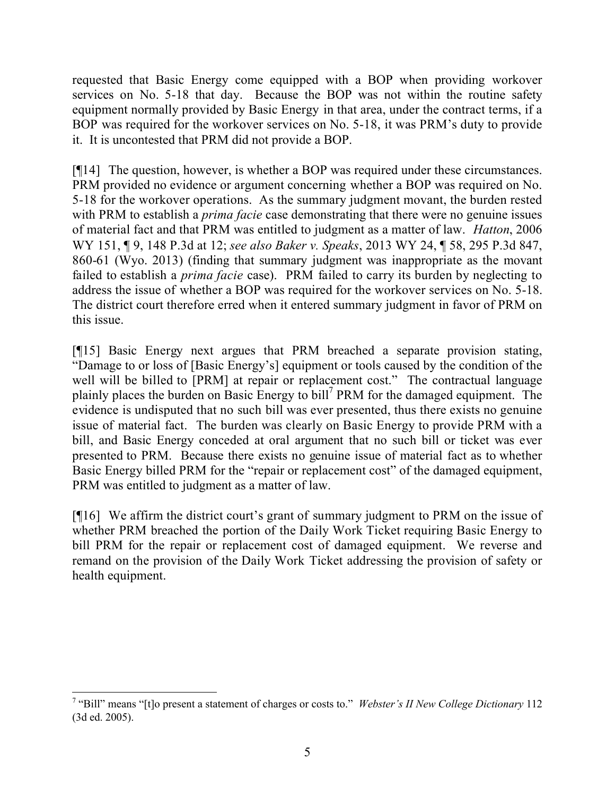requested that Basic Energy come equipped with a BOP when providing workover services on No. 5-18 that day. Because the BOP was not within the routine safety equipment normally provided by Basic Energy in that area, under the contract terms, if a BOP was required for the workover services on No. 5-18, it was PRM's duty to provide it. It is uncontested that PRM did not provide a BOP.

[¶14] The question, however, is whether a BOP was required under these circumstances. PRM provided no evidence or argument concerning whether a BOP was required on No. 5-18 for the workover operations. As the summary judgment movant, the burden rested with PRM to establish a *prima facie* case demonstrating that there were no genuine issues of material fact and that PRM was entitled to judgment as a matter of law. *Hatton*, 2006 WY 151, ¶ 9, 148 P.3d at 12; *see also Baker v. Speaks*, 2013 WY 24, ¶ 58, 295 P.3d 847, 860-61 (Wyo. 2013) (finding that summary judgment was inappropriate as the movant failed to establish a *prima facie* case). PRM failed to carry its burden by neglecting to address the issue of whether a BOP was required for the workover services on No. 5-18. The district court therefore erred when it entered summary judgment in favor of PRM on this issue.

[¶15] Basic Energy next argues that PRM breached a separate provision stating, "Damage to or loss of [Basic Energy's] equipment or tools caused by the condition of the well will be billed to [PRM] at repair or replacement cost." The contractual language plainly places the burden on Basic Energy to bill<sup>7</sup> PRM for the damaged equipment. The evidence is undisputed that no such bill was ever presented, thus there exists no genuine issue of material fact. The burden was clearly on Basic Energy to provide PRM with a bill, and Basic Energy conceded at oral argument that no such bill or ticket was ever presented to PRM. Because there exists no genuine issue of material fact as to whether Basic Energy billed PRM for the "repair or replacement cost" of the damaged equipment, PRM was entitled to judgment as a matter of law.

[¶16] We affirm the district court's grant of summary judgment to PRM on the issue of whether PRM breached the portion of the Daily Work Ticket requiring Basic Energy to bill PRM for the repair or replacement cost of damaged equipment. We reverse and remand on the provision of the Daily Work Ticket addressing the provision of safety or health equipment.

<sup>&</sup>lt;sup>7</sup> "Bill" means "[t]o present a statement of charges or costs to." *Webster's II New College Dictionary* 112 (3d ed. 2005).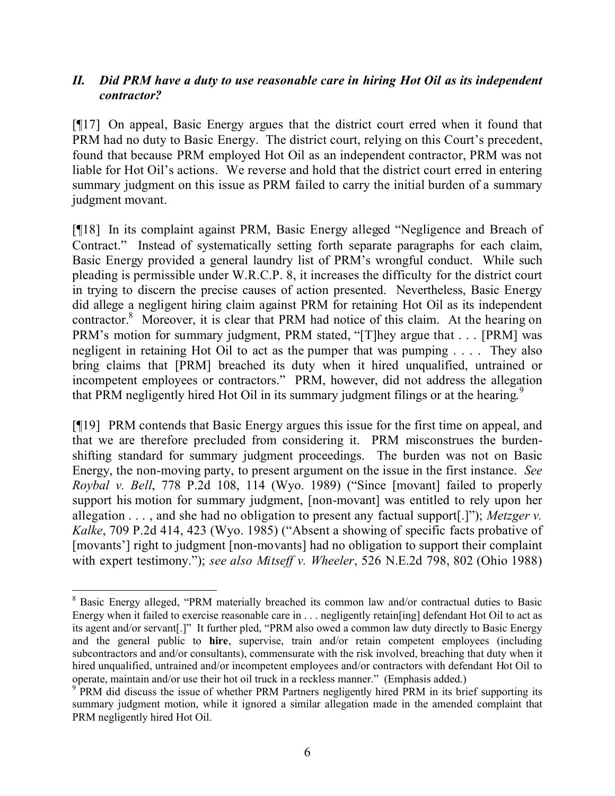# *II. Did PRM have a duty to use reasonable care in hiring Hot Oil as its independent contractor?*

[¶17] On appeal, Basic Energy argues that the district court erred when it found that PRM had no duty to Basic Energy. The district court, relying on this Court's precedent, found that because PRM employed Hot Oil as an independent contractor, PRM was not liable for Hot Oil's actions. We reverse and hold that the district court erred in entering summary judgment on this issue as PRM failed to carry the initial burden of a summary judgment movant.

[¶18] In its complaint against PRM, Basic Energy alleged "Negligence and Breach of Contract." Instead of systematically setting forth separate paragraphs for each claim, Basic Energy provided a general laundry list of PRM's wrongful conduct. While such pleading is permissible under W.R.C.P. 8, it increases the difficulty for the district court in trying to discern the precise causes of action presented. Nevertheless, Basic Energy did allege a negligent hiring claim against PRM for retaining Hot Oil as its independent contractor.<sup>8</sup> Moreover, it is clear that PRM had notice of this claim. At the hearing on PRM's motion for summary judgment, PRM stated, "[T]hey argue that . . . [PRM] was negligent in retaining Hot Oil to act as the pumper that was pumping . . . . They also bring claims that [PRM] breached its duty when it hired unqualified, untrained or incompetent employees or contractors." PRM, however, did not address the allegation that PRM negligently hired Hot Oil in its summary judgment filings or at the hearing.<sup>9</sup>

[¶19] PRM contends that Basic Energy argues this issue for the first time on appeal, and that we are therefore precluded from considering it. PRM misconstrues the burdenshifting standard for summary judgment proceedings. The burden was not on Basic Energy, the non-moving party, to present argument on the issue in the first instance. *See Roybal v. Bell*, 778 P.2d 108, 114 (Wyo. 1989) ("Since [movant] failed to properly support his motion for summary judgment, [non-movant] was entitled to rely upon her allegation . . . , and she had no obligation to present any factual support[.]"); *Metzger v. Kalke*, 709 P.2d 414, 423 (Wyo. 1985) ("Absent a showing of specific facts probative of [movants'] right to judgment [non-movants] had no obligation to support their complaint with expert testimony."); *see also Mitseff v. Wheeler*, 526 N.E.2d 798, 802 (Ohio 1988)

 <sup>8</sup> Basic Energy alleged, "PRM materially breached its common law and/or contractual duties to Basic Energy when it failed to exercise reasonable care in . . . negligently retain[ing] defendant Hot Oil to act as its agent and/or servant[.]" It further pled, "PRM also owed a common law duty directly to Basic Energy and the general public to **hire**, supervise, train and/or retain competent employees (including subcontractors and and/or consultants), commensurate with the risk involved, breaching that duty when it hired unqualified, untrained and/or incompetent employees and/or contractors with defendant Hot Oil to operate, maintain and/or use their hot oil truck in a reckless manner." (Emphasis added.)

<sup>&</sup>lt;sup>9</sup> PRM did discuss the issue of whether PRM Partners negligently hired PRM in its brief supporting its summary judgment motion, while it ignored a similar allegation made in the amended complaint that PRM negligently hired Hot Oil.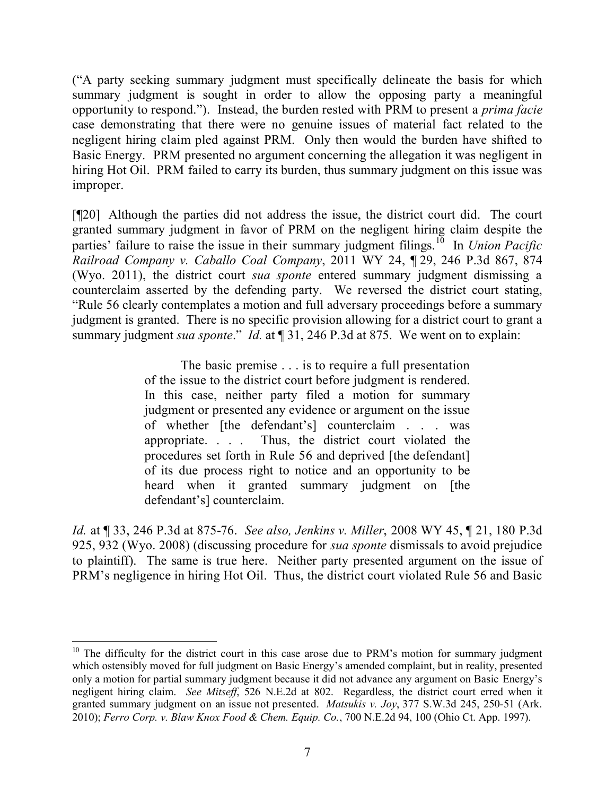("A party seeking summary judgment must specifically delineate the basis for which summary judgment is sought in order to allow the opposing party a meaningful opportunity to respond."). Instead, the burden rested with PRM to present a *prima facie* case demonstrating that there were no genuine issues of material fact related to the negligent hiring claim pled against PRM. Only then would the burden have shifted to Basic Energy. PRM presented no argument concerning the allegation it was negligent in hiring Hot Oil. PRM failed to carry its burden, thus summary judgment on this issue was improper.

[¶20] Although the parties did not address the issue, the district court did. The court granted summary judgment in favor of PRM on the negligent hiring claim despite the parties' failure to raise the issue in their summary judgment filings.<sup>10</sup> In *Union Pacific Railroad Company v. Caballo Coal Company*, 2011 WY 24, ¶ 29, 246 P.3d 867, 874 (Wyo. 2011), the district court *sua sponte* entered summary judgment dismissing a counterclaim asserted by the defending party. We reversed the district court stating, "Rule 56 clearly contemplates a motion and full adversary proceedings before a summary judgment is granted. There is no specific provision allowing for a district court to grant a summary judgment *sua sponte*." *Id.* at ¶ 31, 246 P.3d at 875. We went on to explain:

> The basic premise . . . is to require a full presentation of the issue to the district court before judgment is rendered. In this case, neither party filed a motion for summary judgment or presented any evidence or argument on the issue of whether [the defendant's] counterclaim . . . was appropriate. . . . Thus, the district court violated the procedures set forth in Rule 56 and deprived [the defendant] of its due process right to notice and an opportunity to be heard when it granted summary judgment on [the defendant's] counterclaim.

*Id.* at ¶ 33, 246 P.3d at 875-76. *See also, Jenkins v. Miller*, 2008 WY 45, ¶ 21, 180 P.3d 925, 932 (Wyo. 2008) (discussing procedure for *sua sponte* dismissals to avoid prejudice to plaintiff). The same is true here. Neither party presented argument on the issue of PRM's negligence in hiring Hot Oil. Thus, the district court violated Rule 56 and Basic

 <sup>10</sup> The difficulty for the district court in this case arose due to PRM's motion for summary judgment which ostensibly moved for full judgment on Basic Energy's amended complaint, but in reality, presented only a motion for partial summary judgment because it did not advance any argument on Basic Energy's negligent hiring claim. *See Mitseff*, 526 N.E.2d at 802. Regardless, the district court erred when it granted summary judgment on an issue not presented. *Matsukis v. Joy*, 377 S.W.3d 245, 250-51 (Ark. 2010); *Ferro Corp. v. Blaw Knox Food & Chem. Equip. Co.*, 700 N.E.2d 94, 100 (Ohio Ct. App. 1997).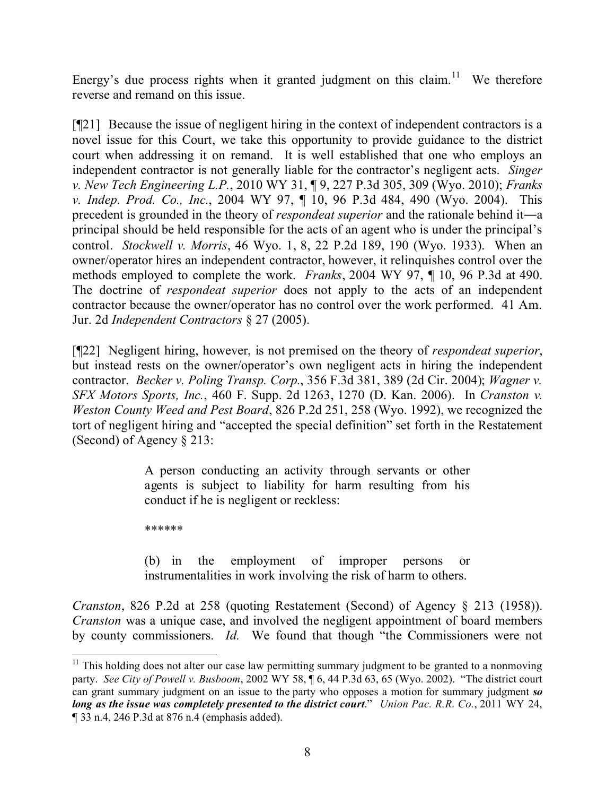Energy's due process rights when it granted judgment on this claim.<sup>11</sup> We therefore reverse and remand on this issue.

[¶21] Because the issue of negligent hiring in the context of independent contractors is a novel issue for this Court, we take this opportunity to provide guidance to the district court when addressing it on remand. It is well established that one who employs an independent contractor is not generally liable for the contractor's negligent acts. *Singer v. New Tech Engineering L.P.*, 2010 WY 31, ¶ 9, 227 P.3d 305, 309 (Wyo. 2010); *Franks v. Indep. Prod. Co., Inc.*, 2004 WY 97, ¶ 10, 96 P.3d 484, 490 (Wyo. 2004). This precedent is grounded in the theory of *respondeat superior* and the rationale behind it―a principal should be held responsible for the acts of an agent who is under the principal's control. *Stockwell v. Morris*, 46 Wyo. 1, 8, 22 P.2d 189, 190 (Wyo. 1933). When an owner/operator hires an independent contractor, however, it relinquishes control over the methods employed to complete the work. *Franks*, 2004 WY 97, ¶ 10, 96 P.3d at 490. The doctrine of *respondeat superior* does not apply to the acts of an independent contractor because the owner/operator has no control over the work performed. 41 Am. Jur. 2d *Independent Contractors* § 27 (2005).

[¶22] Negligent hiring, however, is not premised on the theory of *respondeat superior*, but instead rests on the owner/operator's own negligent acts in hiring the independent contractor. *Becker v. Poling Transp. Corp.*, 356 F.3d 381, 389 (2d Cir. 2004); *Wagner v. SFX Motors Sports, Inc.*, 460 F. Supp. 2d 1263, 1270 (D. Kan. 2006). In *Cranston v. Weston County Weed and Pest Board*, 826 P.2d 251, 258 (Wyo. 1992), we recognized the tort of negligent hiring and "accepted the special definition" set forth in the Restatement (Second) of Agency § 213:

> A person conducting an activity through servants or other agents is subject to liability for harm resulting from his conduct if he is negligent or reckless:

\*\*\*\*\*\*

(b) in the employment of improper persons or instrumentalities in work involving the risk of harm to others.

*Cranston*, 826 P.2d at 258 (quoting Restatement (Second) of Agency § 213 (1958)). *Cranston* was a unique case, and involved the negligent appointment of board members by county commissioners. *Id.* We found that though "the Commissioners were not

 $11$  This holding does not alter our case law permitting summary judgment to be granted to a nonmoving party. *See City of Powell v. Busboom*, 2002 WY 58,  $\P$  6, 44 P.3d 63, 65 (Wyo. 2002). "The district court can grant summary judgment on an issue to the party who opposes a motion for summary judgment *so long as the issue was completely presented to the district court*." *Union Pac. R.R. Co.*, 2011 WY 24, ¶ 33 n.4, 246 P.3d at 876 n.4 (emphasis added).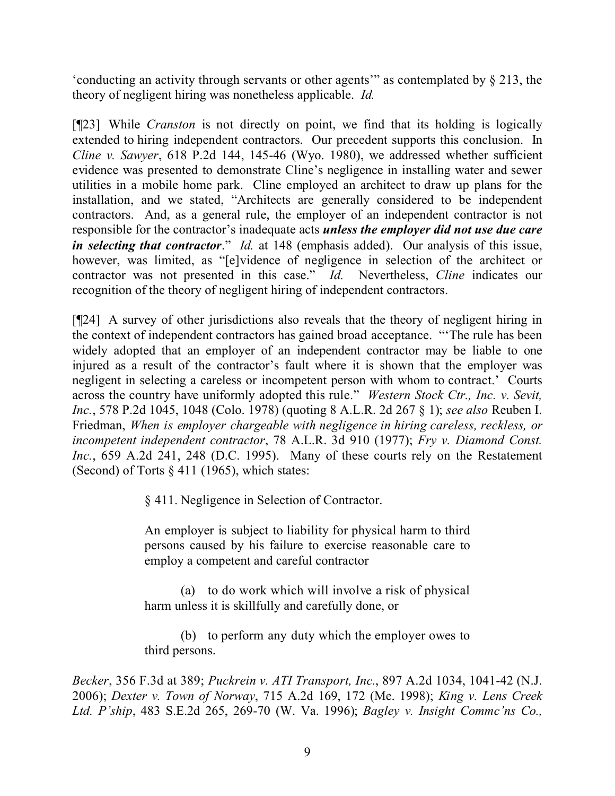'conducting an activity through servants or other agents'" as contemplated by § 213, the theory of negligent hiring was nonetheless applicable. *Id.*

[¶23] While *Cranston* is not directly on point, we find that its holding is logically extended to hiring independent contractors. Our precedent supports this conclusion. In *Cline v. Sawyer*, 618 P.2d 144, 145-46 (Wyo. 1980), we addressed whether sufficient evidence was presented to demonstrate Cline's negligence in installing water and sewer utilities in a mobile home park. Cline employed an architect to draw up plans for the installation, and we stated, "Architects are generally considered to be independent contractors. And, as a general rule, the employer of an independent contractor is not responsible for the contractor's inadequate acts *unless the employer did not use due care in selecting that contractor*." *Id.* at 148 (emphasis added). Our analysis of this issue, however, was limited, as "[e]vidence of negligence in selection of the architect or contractor was not presented in this case." *Id.* Nevertheless, *Cline* indicates our recognition of the theory of negligent hiring of independent contractors.

[¶24] A survey of other jurisdictions also reveals that the theory of negligent hiring in the context of independent contractors has gained broad acceptance. "'The rule has been widely adopted that an employer of an independent contractor may be liable to one injured as a result of the contractor's fault where it is shown that the employer was negligent in selecting a careless or incompetent person with whom to contract.' Courts across the country have uniformly adopted this rule." *Western Stock Ctr., Inc. v. Sevit, Inc.*, 578 P.2d 1045, 1048 (Colo. 1978) (quoting 8 A.L.R. 2d 267 § 1); *see also* Reuben I. Friedman, *When is employer chargeable with negligence in hiring careless, reckless, or incompetent independent contractor*, 78 A.L.R. 3d 910 (1977); *Fry v. Diamond Const. Inc.*, 659 A.2d 241, 248 (D.C. 1995). Many of these courts rely on the Restatement (Second) of Torts  $\S 411$  (1965), which states:

§ 411. Negligence in Selection of Contractor.

An employer is subject to liability for physical harm to third persons caused by his failure to exercise reasonable care to employ a competent and careful contractor

(a) to do work which will involve a risk of physical harm unless it is skillfully and carefully done, or

(b) to perform any duty which the employer owes to third persons.

*Becker*, 356 F.3d at 389; *Puckrein v. ATI Transport, Inc.*, 897 A.2d 1034, 1041-42 (N.J. 2006); *Dexter v. Town of Norway*, 715 A.2d 169, 172 (Me. 1998); *King v. Lens Creek Ltd. P'ship*, 483 S.E.2d 265, 269-70 (W. Va. 1996); *Bagley v. Insight Commc'ns Co.,*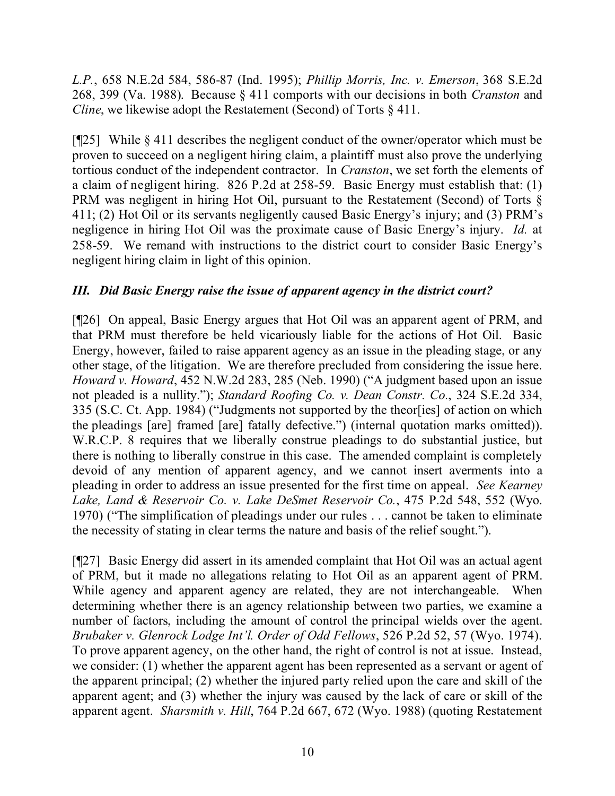*L.P.*, 658 N.E.2d 584, 586-87 (Ind. 1995); *Phillip Morris, Inc. v. Emerson*, 368 S.E.2d 268, 399 (Va. 1988). Because § 411 comports with our decisions in both *Cranston* and *Cline*, we likewise adopt the Restatement (Second) of Torts § 411.

[¶25] While § 411 describes the negligent conduct of the owner/operator which must be proven to succeed on a negligent hiring claim, a plaintiff must also prove the underlying tortious conduct of the independent contractor. In *Cranston*, we set forth the elements of a claim of negligent hiring. 826 P.2d at 258-59. Basic Energy must establish that: (1) PRM was negligent in hiring Hot Oil, pursuant to the Restatement (Second) of Torts § 411; (2) Hot Oil or its servants negligently caused Basic Energy's injury; and (3) PRM's negligence in hiring Hot Oil was the proximate cause of Basic Energy's injury. *Id.* at 258-59. We remand with instructions to the district court to consider Basic Energy's negligent hiring claim in light of this opinion.

# *III. Did Basic Energy raise the issue of apparent agency in the district court?*

[¶26] On appeal, Basic Energy argues that Hot Oil was an apparent agent of PRM, and that PRM must therefore be held vicariously liable for the actions of Hot Oil. Basic Energy, however, failed to raise apparent agency as an issue in the pleading stage, or any other stage, of the litigation. We are therefore precluded from considering the issue here. *Howard v. Howard*, 452 N.W.2d 283, 285 (Neb. 1990) ("A judgment based upon an issue not pleaded is a nullity."); *Standard Roofing Co. v. Dean Constr. Co.*, 324 S.E.2d 334, 335 (S.C. Ct. App. 1984) ("Judgments not supported by the theor[ies] of action on which the pleadings [are] framed [are] fatally defective.") (internal quotation marks omitted)). W.R.C.P. 8 requires that we liberally construe pleadings to do substantial justice, but there is nothing to liberally construe in this case. The amended complaint is completely devoid of any mention of apparent agency, and we cannot insert averments into a pleading in order to address an issue presented for the first time on appeal. *See Kearney Lake, Land & Reservoir Co. v. Lake DeSmet Reservoir Co.*, 475 P.2d 548, 552 (Wyo. 1970) ("The simplification of pleadings under our rules . . . cannot be taken to eliminate the necessity of stating in clear terms the nature and basis of the relief sought.").

[¶27] Basic Energy did assert in its amended complaint that Hot Oil was an actual agent of PRM, but it made no allegations relating to Hot Oil as an apparent agent of PRM. While agency and apparent agency are related, they are not interchangeable. When determining whether there is an agency relationship between two parties, we examine a number of factors, including the amount of control the principal wields over the agent. *Brubaker v. Glenrock Lodge Int'l. Order of Odd Fellows*, 526 P.2d 52, 57 (Wyo. 1974). To prove apparent agency, on the other hand, the right of control is not at issue. Instead, we consider: (1) whether the apparent agent has been represented as a servant or agent of the apparent principal; (2) whether the injured party relied upon the care and skill of the apparent agent; and (3) whether the injury was caused by the lack of care or skill of the apparent agent. *Sharsmith v. Hill*, 764 P.2d 667, 672 (Wyo. 1988) (quoting Restatement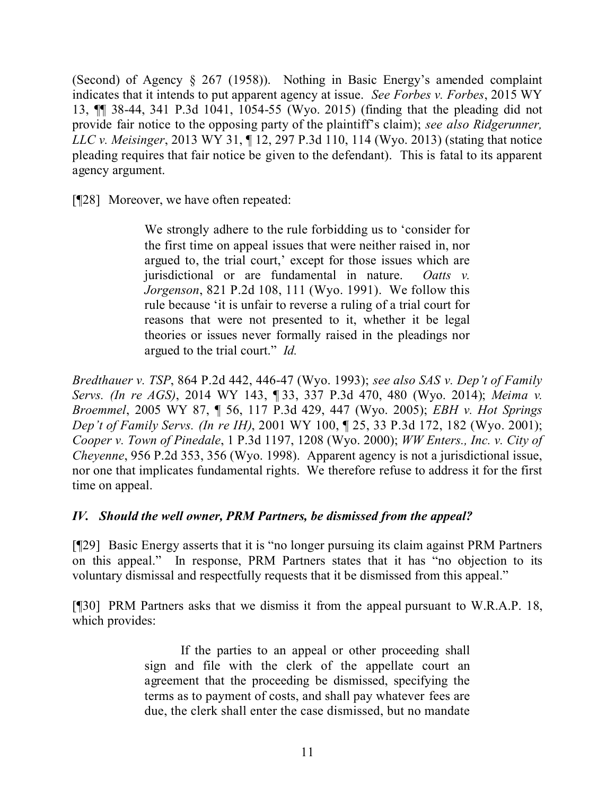(Second) of Agency § 267 (1958)). Nothing in Basic Energy's amended complaint indicates that it intends to put apparent agency at issue. *See Forbes v. Forbes*, 2015 WY 13, ¶¶ 38-44, 341 P.3d 1041, 1054-55 (Wyo. 2015) (finding that the pleading did not provide fair notice to the opposing party of the plaintiff's claim); *see also Ridgerunner, LLC v. Meisinger*, 2013 WY 31, ¶ 12, 297 P.3d 110, 114 (Wyo. 2013) (stating that notice pleading requires that fair notice be given to the defendant). This is fatal to its apparent agency argument.

[¶28] Moreover, we have often repeated:

We strongly adhere to the rule forbidding us to 'consider for the first time on appeal issues that were neither raised in, nor argued to, the trial court,' except for those issues which are jurisdictional or are fundamental in nature. *Oatts v. Jorgenson*, 821 P.2d 108, 111 (Wyo. 1991). We follow this rule because 'it is unfair to reverse a ruling of a trial court for reasons that were not presented to it, whether it be legal theories or issues never formally raised in the pleadings nor argued to the trial court." *Id.*

*Bredthauer v. TSP*, 864 P.2d 442, 446-47 (Wyo. 1993); *see also SAS v. Dep't of Family Servs. (In re AGS)*, 2014 WY 143, ¶ 33, 337 P.3d 470, 480 (Wyo. 2014); *Meima v. Broemmel*, 2005 WY 87, ¶ 56, 117 P.3d 429, 447 (Wyo. 2005); *EBH v. Hot Springs Dep't of Family Servs. (In re IH)*, 2001 WY 100, ¶ 25, 33 P.3d 172, 182 (Wyo. 2001); *Cooper v. Town of Pinedale*, 1 P.3d 1197, 1208 (Wyo. 2000); *WW Enters., Inc. v. City of Cheyenne*, 956 P.2d 353, 356 (Wyo. 1998). Apparent agency is not a jurisdictional issue, nor one that implicates fundamental rights. We therefore refuse to address it for the first time on appeal.

# *IV. Should the well owner, PRM Partners, be dismissed from the appeal?*

[¶29] Basic Energy asserts that it is "no longer pursuing its claim against PRM Partners on this appeal." In response, PRM Partners states that it has "no objection to its voluntary dismissal and respectfully requests that it be dismissed from this appeal."

[¶30] PRM Partners asks that we dismiss it from the appeal pursuant to W.R.A.P. 18, which provides:

> If the parties to an appeal or other proceeding shall sign and file with the clerk of the appellate court an agreement that the proceeding be dismissed, specifying the terms as to payment of costs, and shall pay whatever fees are due, the clerk shall enter the case dismissed, but no mandate